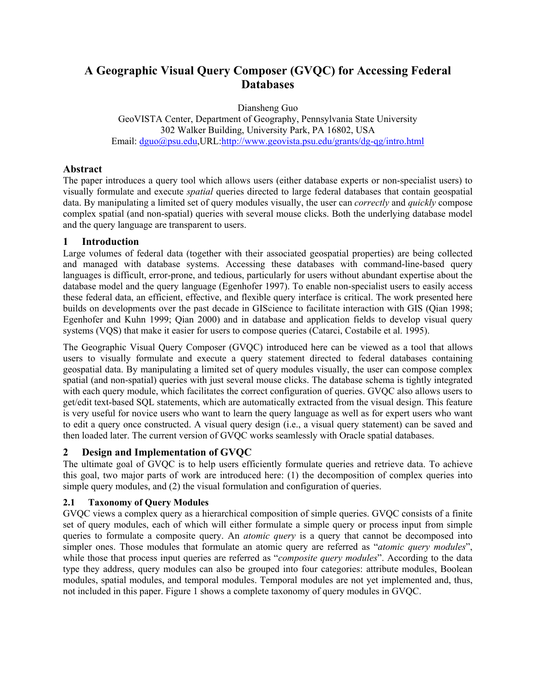# **A Geographic Visual Query Composer (GVQC) for Accessing Federal Databases**

Diansheng Guo GeoVISTA Center, Department of Geography, Pennsylvania State University 302 Walker Building, University Park, PA 16802, USA Email: dguo@psu.edu,URL:http://www.geovista.psu.edu/grants/dg-qg/intro.html

# **Abstract**

The paper introduces a query tool which allows users (either database experts or non-specialist users) to visually formulate and execute *spatial* queries directed to large federal databases that contain geospatial data. By manipulating a limited set of query modules visually, the user can *correctly* and *quickly* compose complex spatial (and non-spatial) queries with several mouse clicks. Both the underlying database model and the query language are transparent to users.

# **1 Introduction**

Large volumes of federal data (together with their associated geospatial properties) are being collected and managed with database systems. Accessing these databases with command-line-based query languages is difficult, error-prone, and tedious, particularly for users without abundant expertise about the database model and the query language (Egenhofer 1997). To enable non-specialist users to easily access these federal data, an efficient, effective, and flexible query interface is critical. The work presented here builds on developments over the past decade in GIScience to facilitate interaction with GIS (Qian 1998; Egenhofer and Kuhn 1999; Qian 2000) and in database and application fields to develop visual query systems (VQS) that make it easier for users to compose queries (Catarci, Costabile et al. 1995).

The Geographic Visual Query Composer (GVQC) introduced here can be viewed as a tool that allows users to visually formulate and execute a query statement directed to federal databases containing geospatial data. By manipulating a limited set of query modules visually, the user can compose complex spatial (and non-spatial) queries with just several mouse clicks. The database schema is tightly integrated with each query module, which facilitates the correct configuration of queries. GVQC also allows users to get/edit text-based SQL statements, which are automatically extracted from the visual design. This feature is very useful for novice users who want to learn the query language as well as for expert users who want to edit a query once constructed. A visual query design (i.e., a visual query statement) can be saved and then loaded later. The current version of GVQC works seamlessly with Oracle spatial databases.

# **2 Design and Implementation of GVQC**

The ultimate goal of GVQC is to help users efficiently formulate queries and retrieve data. To achieve this goal, two major parts of work are introduced here: (1) the decomposition of complex queries into simple query modules, and (2) the visual formulation and configuration of queries.

# **2.1 Taxonomy of Query Modules**

GVQC views a complex query as a hierarchical composition of simple queries. GVQC consists of a finite set of query modules, each of which will either formulate a simple query or process input from simple queries to formulate a composite query. An *atomic query* is a query that cannot be decomposed into simpler ones. Those modules that formulate an atomic query are referred as "*atomic query modules*", while those that process input queries are referred as "*composite query modules*". According to the data type they address, query modules can also be grouped into four categories: attribute modules, Boolean modules, spatial modules, and temporal modules. Temporal modules are not yet implemented and, thus, not included in this paper. Figure 1 shows a complete taxonomy of query modules in GVQC.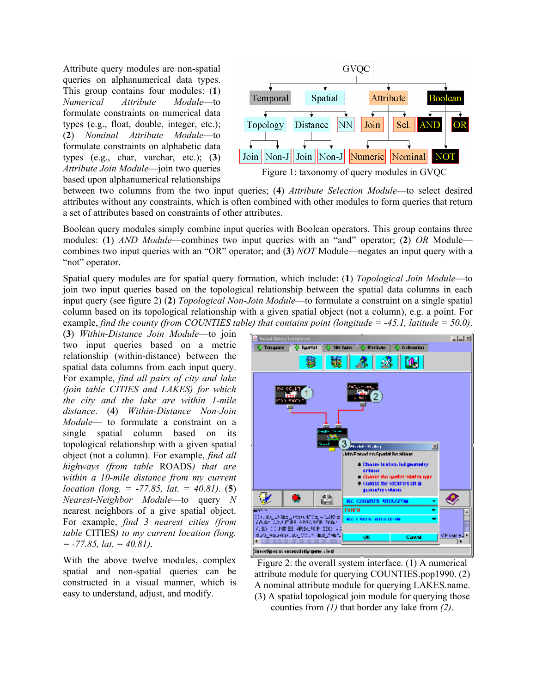Attribute query modules are non-spatial queries on alphanumerical data types. This group contains four modules: (**1**) *Numerical Attribute Module*—to formulate constraints on numerical data types (e.g., float, double, integer, etc.); (**2**) *Nominal Attribute Module*—to formulate constraints on alphabetic data types (e.g., char, varchar, etc.); (**3**) *Attribute Join Module*—join two queries based upon alphanumerical relationships



between two columns from the two input queries; (**4**) *Attribute Selection Module*—to select desired attributes without any constraints, which is often combined with other modules to form queries that return a set of attributes based on constraints of other attributes.

Boolean query modules simply combine input queries with Boolean operators. This group contains three modules: (**1**) *AND Module*—combines two input queries with an "and" operator; (**2**) *OR* Module combines two input queries with an "OR" operator; and (**3**) *NOT* Module—negates an input query with a "not" operator.

Spatial query modules are for spatial query formation, which include: (**1**) *Topological Join Module*—to join two input queries based on the topological relationship between the spatial data columns in each input query (see figure 2) (**2**) *Topological Non-Join Module*—to formulate a constraint on a single spatial column based on its topological relationship with a given spatial object (not a column), e.g. a point. For example, *find the county (from COUNTIES table) that contains point (longitude = -45.1, latitude = 50.0)*.

(**3**) *Within-Distance Join Module*—to join two input queries based on a metric relationship (within-distance) between the spatial data columns from each input query. For example, *find all pairs of city and lake (join table CITIES and LAKES) for which the city and the lake are within 1-mile distance*. (**4**) *Within-Distance Non-Join Module*— to formulate a constraint on a single spatial column based on its topological relationship with a given spatial object (not a column). For example, *find all highways (from table* ROADS*) that are within a 10-mile distance from my current location (long. = -77.85, lat. = 40.81)*. (**5**) *Nearest-Neighbor Module*—to query *N* nearest neighbors of a give spatial object. For example, *find 3 nearest cities (from table* CITIES*) to my current location (long. = -77.85, lat. = 40.81)*.

With the above twelve modules, complex spatial and non-spatial queries can be constructed in a visual manner, which is easy to understand, adjust, and modify.



Figure 2: the overall system interface. (1) A numerical attribute module for querying COUNTIES.pop1990. (2) A nominal attribute module for querying LAKES.name. (3) A spatial topological join module for querying those counties from *(1)* that border any lake from *(2)*.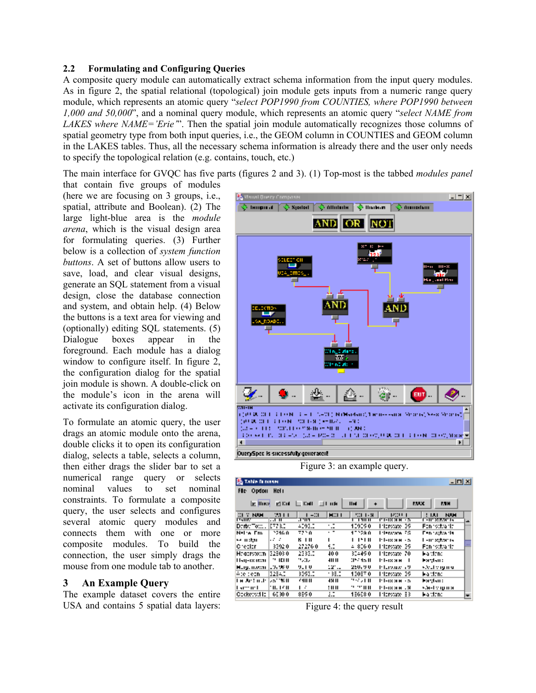#### **2.2 Formulating and Configuring Queries**

A composite query module can automatically extract schema information from the input query modules. As in figure 2, the spatial relational (topological) join module gets inputs from a numeric range query module, which represents an atomic query "*select POP1990 from COUNTIES, where POP1990 between 1,000 and 50,000*", and a nominal query module, which represents an atomic query "*select NAME from LAKES where NAME='Erie'*". Then the spatial join module automatically recognizes those columns of spatial geometry type from both input queries, i.e., the GEOM column in COUNTIES and GEOM column in the LAKES tables. Thus, all the necessary schema information is already there and the user only needs to specify the topological relation (e.g. contains, touch, etc.)

The main interface for GVQC has five parts (figures 2 and 3). (1) Top-most is the tabbed *modules panel* 

that contain five groups of modules (here we are focusing on 3 groups, i.e., spatial, attribute and Boolean). (2) The large light-blue area is the *module arena*, which is the visual design area for formulating queries. (3) Further below is a collection of *system function buttons*. A set of buttons allow users to save, load, and clear visual designs, generate an SQL statement from a visual design, close the database connection and system, and obtain help. (4) Below the buttons is a text area for viewing and (optionally) editing SQL statements. (5) Dialogue boxes appear in the foreground. Each module has a dialog window to configure itself. In figure 2, the configuration dialog for the spatial join module is shown. A double-click on the module's icon in the arena will activate its configuration dialog.

To formulate an atomic query, the user drags an atomic module onto the arena, double clicks it to open its configuration dialog, selects a table, selects a column, then either drags the slider bar to set a numerical range query or selects nominal values to set nominal constraints. To formulate a composite query, the user selects and configures several atomic query modules and connects them with one or more composite modules. To build the connection, the user simply drags the mouse from one module tab to another.

## **3 An Example Query**

The example dataset covers the entire USA and contains 5 spatial data layers:



| <b>Table Diovane</b><br>그미의                                                                                        |                 |                  |           |           |                |                     |    |
|--------------------------------------------------------------------------------------------------------------------|-----------------|------------------|-----------|-----------|----------------|---------------------|----|
| Fle-<br>Opden                                                                                                      | HH <sub>1</sub> |                  |           |           |                |                     |    |
| <b>PET L'OB</b><br><b>RUX</b><br><b>E Huys</b><br>$\Box$ $E$ $H$ $I$<br><b>II</b> H<br>$\Box$ I use<br><b>P.TH</b> |                 |                  |           |           |                |                     |    |
| CLY NAM                                                                                                            | 75 L L          | $1 - 31$         | MID 1     | 5011-31   | 1200011        | <b>NUH</b><br>1 I.U |    |
| ल्नाह                                                                                                              | न्तम<br>ETT 30  | .एता प<br>4093.0 | ÷         | ொாா       | गानप्रप्रमण्ड  | न्ना अउन्हार क      | ш. |
| Derbeitweise                                                                                                       |                 |                  |           | 129250    | Filterston, 39 | Fan witterla        |    |
| Nelia Em                                                                                                           | ንንተሰብ           | 7750             | $\cdot$ . | 17728.0   | Lilenatana FG. | Fennwytwirts        |    |
| sa mitan                                                                                                           | .               | K 1 11           | ı         | 1 1 M I   | Р І-таминал    | L-ur stitor is      |    |
| lChealar,                                                                                                          | 3392.0          | 27276.0          | œ         | $-8000$   | Filterston, 26 | Fan witterla        | ٠  |
| Haarsootni                                                                                                         | 32503.0         | 2333.0           | 40.0      | 324150.   | Trierstate 70  | ka titne            |    |
| Hay-ix iran                                                                                                        | וו וזו יי       | 75.IS            | 411 II    | 357 IS II | Р Бахми<br>- 1 | Fardan :            |    |
| Murguniwwa (19798-8                                                                                                |                 | 921 0            | 121.1     | 25V, Y V  | Humas 19       | sédang mu           |    |
| Ade dezni                                                                                                          | 32540           | 3292.2           | - 36.0    | 13097.0   | Trierwage 39   | kardana             |    |
| t a Jettindr                                                                                                       | 25° IK IL       | 6411 11          | 49 H      | 952 A H   | Р І-тх я нік в | Hardsut:            |    |
| l semie l                                                                                                          | 70. TCH         | ı c              | : 11 11   | 9.99 H H  | R. MRXI-14     | sáel v grupi        |    |
| Opelewort in                                                                                                       | 6530.0          | 8590             | 拦         | 15658.0   | Hipmax ES      | kardana             |    |

Figure 4: the query result